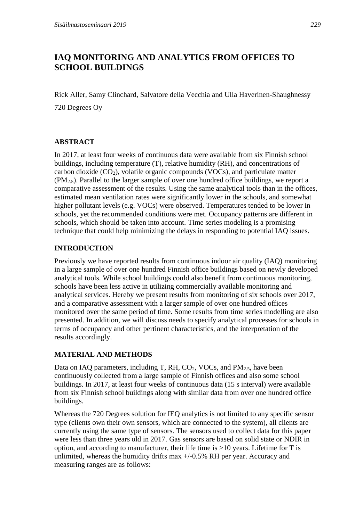# **IAQ MONITORING AND ANALYTICS FROM OFFICES TO SCHOOL BUILDINGS**

Rick Aller, Samy Clinchard, Salvatore della Vecchia and Ulla Haverinen-Shaughnessy 720 Degrees Oy

### **ABSTRACT**

In 2017, at least four weeks of continuous data were available from six Finnish school buildings, including temperature (T), relative humidity (RH), and concentrations of carbon dioxide  $(CO_2)$ , volatile organic compounds (VOCs), and particulate matter  $(PM_{2.5})$ . Parallel to the larger sample of over one hundred office buildings, we report a comparative assessment of the results. Using the same analytical tools than in the offices, estimated mean ventilation rates were significantly lower in the schools, and somewhat higher pollutant levels (e.g. VOCs) were observed. Temperatures tended to be lower in schools, yet the recommended conditions were met. Occupancy patterns are different in schools, which should be taken into account. Time series modeling is a promising technique that could help minimizing the delays in responding to potential IAQ issues.

## **INTRODUCTION**

Previously we have reported results from continuous indoor air quality (IAQ) monitoring in a large sample of over one hundred Finnish office buildings based on newly developed analytical tools. While school buildings could also benefit from continuous monitoring, schools have been less active in utilizing commercially available monitoring and analytical services. Hereby we present results from monitoring of six schools over 2017, and a comparative assessment with a larger sample of over one hundred offices monitored over the same period of time. Some results from time series modelling are also presented. In addition, we will discuss needs to specify analytical processes for schools in terms of occupancy and other pertinent characteristics, and the interpretation of the results accordingly.

## **MATERIAL AND METHODS**

Data on IAQ parameters, including T, RH,  $CO<sub>2</sub>$ , VOCs, and PM<sub>2.5</sub>, have been continuously collected from a large sample of Finnish offices and also some school buildings. In 2017, at least four weeks of continuous data (15 s interval) were available from six Finnish school buildings along with similar data from over one hundred office buildings.

Whereas the 720 Degrees solution for IEQ analytics is not limited to any specific sensor type (clients own their own sensors, which are connected to the system), all clients are currently using the same type of sensors. The sensors used to collect data for this paper were less than three years old in 2017. Gas sensors are based on solid state or NDIR in option, and according to manufacturer, their life time is >10 years. Lifetime for T is unlimited, whereas the humidity drifts max  $+/-0.5\%$  RH per year. Accuracy and measuring ranges are as follows: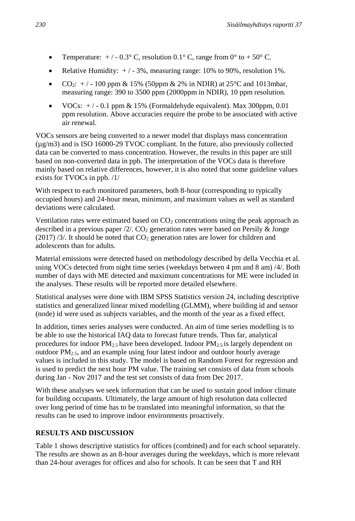- Temperature:  $+/-0.3^{\circ}$  C, resolution 0.1° C, range from 0° to  $+50^{\circ}$  C.
- Relative Humidity:  $+/-3\%$ , measuring range: 10% to 90%, resolution 1%.
- $CO_2$ : +/-100 ppm & 15% (50ppm & 2% in NDIR) at 25°C and 1013mbar, measuring range: 390 to 3500 ppm (2000ppm in NDIR), 10 ppm resolution.
- VOCs:  $+/-0.1$  ppm & 15% (Formaldehyde equivalent). Max 300ppm, 0.01 ppm resolution. Above accuracies require the probe to be associated with active air renewal.

VOCs sensors are being converted to a newer model that displays mass concentration (µg/m3) and is ISO 16000-29 TVOC compliant. In the future, also previously collected data can be converted to mass concentration. However, the results in this paper are still based on non-converted data in ppb. The interpretation of the VOCs data is therefore mainly based on relative differences, however, it is also noted that some guideline values exists for TVOCs in ppb. /1/

With respect to each monitored parameters, both 8-hour (corresponding to typically occupied hours) and 24-hour mean, minimum, and maximum values as well as standard deviations were calculated.

Ventilation rates were estimated based on  $CO<sub>2</sub>$  concentrations using the peak approach as described in a previous paper  $/2$ . CO<sub>2</sub> generation rates were based on Persily & Jonge  $(2017)$  /3/. It should be noted that  $CO<sub>2</sub>$  generation rates are lower for children and adolescents than for adults.

Material emissions were detected based on methodology described by della Vecchia et al. using VOCs detected from night time series (weekdays between 4 pm and 8 am) /4/. Both number of days with ME detected and maximum concentrations for ME were included in the analyses. These results will be reported more detailed elsewhere.

Statistical analyses were done with IBM SPSS Statistics version 24, including descriptive statistics and generalized linear mixed modelling (GLMM), where building id and sensor (node) id were used as subjects variables, and the month of the year as a fixed effect.

In addition, times series analyses were conducted. An aim of time series modelling is to be able to use the historical IAQ data to forecast future trends. Thus far, analytical procedures for indoor  $PM_{2.5}$  have been developed. Indoor  $PM_{2.5}$  is largely dependent on outdoor  $PM_{2.5}$ , and an example using four latest indoor and outdoor hourly average values is included in this study. The model is based on Random Forest for regression and is used to predict the next hour PM value. The training set consists of data from schools during Jan - Nov 2017 and the test set consists of data from Dec 2017.

With these analyses we seek information that can be used to sustain good indoor climate for building occupants. Ultimately, the large amount of high resolution data collected over long period of time has to be translated into meaningful information, so that the results can be used to improve indoor environments proactively.

## **RESULTS AND DISCUSSION**

Table 1 shows descriptive statistics for offices (combined) and for each school separately. The results are shown as an 8-hour averages during the weekdays, which is more relevant than 24-hour averages for offices and also for schools. It can be seen that T and RH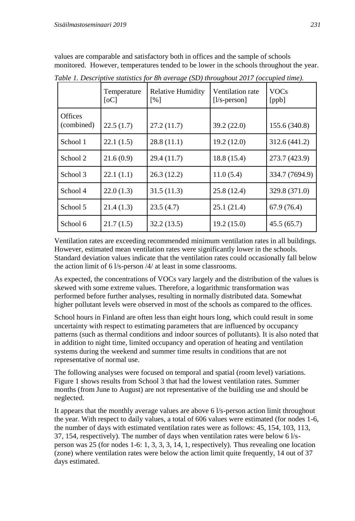values are comparable and satisfactory both in offices and the sample of schools monitored. However, temperatures tended to be lower in the schools throughout the year.

|                              | Temperature<br>[oC] | Relative Humidity<br>$\lceil\% \rceil$ | Ventilation rate<br>$[1/s$ -person] | <b>VOCs</b><br>[ppb] |
|------------------------------|---------------------|----------------------------------------|-------------------------------------|----------------------|
| <b>Offices</b><br>(combined) | 22.5(1.7)           | 27.2(11.7)                             | 39.2 (22.0)                         | 155.6 (340.8)        |
| School 1                     | 22.1(1.5)           | 28.8(11.1)                             | 19.2(12.0)                          | 312.6 (441.2)        |
| School 2                     | 21.6(0.9)           | 29.4 (11.7)                            | 18.8 (15.4)                         | 273.7 (423.9)        |
| School 3                     | 22.1(1.1)           | 26.3(12.2)                             | 11.0(5.4)                           | 334.7 (7694.9)       |
| School 4                     | 22.0(1.3)           | 31.5(11.3)                             | 25.8(12.4)                          | 329.8 (371.0)        |
| School 5                     | 21.4(1.3)           | 23.5(4.7)                              | 25.1(21.4)                          | 67.9 (76.4)          |
| School 6                     | 21.7(1.5)           | 32.2 (13.5)                            | 19.2(15.0)                          | 45.5(65.7)           |

*Table 1. Descriptive statistics for 8h average (SD) throughout 2017 (occupied time).*

Ventilation rates are exceeding recommended minimum ventilation rates in all buildings. However, estimated mean ventilation rates were significantly lower in the schools. Standard deviation values indicate that the ventilation rates could occasionally fall below the action limit of 6 l/s-person /4/ at least in some classrooms.

As expected, the concentrations of VOCs vary largely and the distribution of the values is skewed with some extreme values. Therefore, a logarithmic transformation was performed before further analyses, resulting in normally distributed data. Somewhat higher pollutant levels were observed in most of the schools as compared to the offices.

School hours in Finland are often less than eight hours long, which could result in some uncertainty with respect to estimating parameters that are influenced by occupancy patterns (such as thermal conditions and indoor sources of pollutants). It is also noted that in addition to night time, limited occupancy and operation of heating and ventilation systems during the weekend and summer time results in conditions that are not representative of normal use.

The following analyses were focused on temporal and spatial (room level) variations. Figure 1 shows results from School 3 that had the lowest ventilation rates. Summer months (from June to August) are not representative of the building use and should be neglected.

It appears that the monthly average values are above 6 l/s-person action limit throughout the year. With respect to daily values, a total of 606 values were estimated (for nodes 1-6, the number of days with estimated ventilation rates were as follows: 45, 154, 103, 113, 37, 154, respectively). The number of days when ventilation rates were below 6 l/sperson was 25 (for nodes 1-6: 1, 3, 3, 3, 14, 1, respectively). Thus revealing one location (zone) where ventilation rates were below the action limit quite frequently, 14 out of 37 days estimated.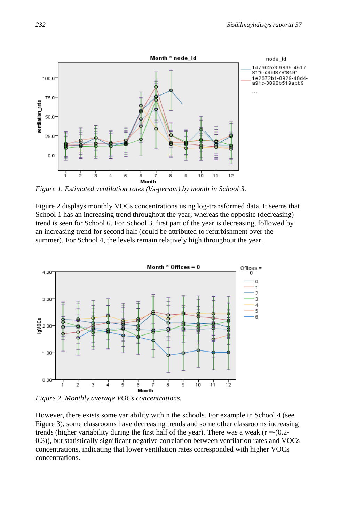

*Figure 1. Estimated ventilation rates (l/s-person) by month in School 3.*

Figure 2 displays monthly VOCs concentrations using log-transformed data. It seems that School 1 has an increasing trend throughout the year, whereas the opposite (decreasing) trend is seen for School 6. For School 3, first part of the year is decreasing, followed by an increasing trend for second half (could be attributed to refurbishment over the summer). For School 4, the levels remain relatively high throughout the year.



*Figure 2. Monthly average VOCs concentrations.*

However, there exists some variability within the schools. For example in School 4 (see Figure 3), some classrooms have decreasing trends and some other classrooms increasing trends (higher variability during the first half of the year). There was a weak ( $r = -(0.2 - 1)$ 0.3)), but statistically significant negative correlation between ventilation rates and VOCs concentrations, indicating that lower ventilation rates corresponded with higher VOCs concentrations.